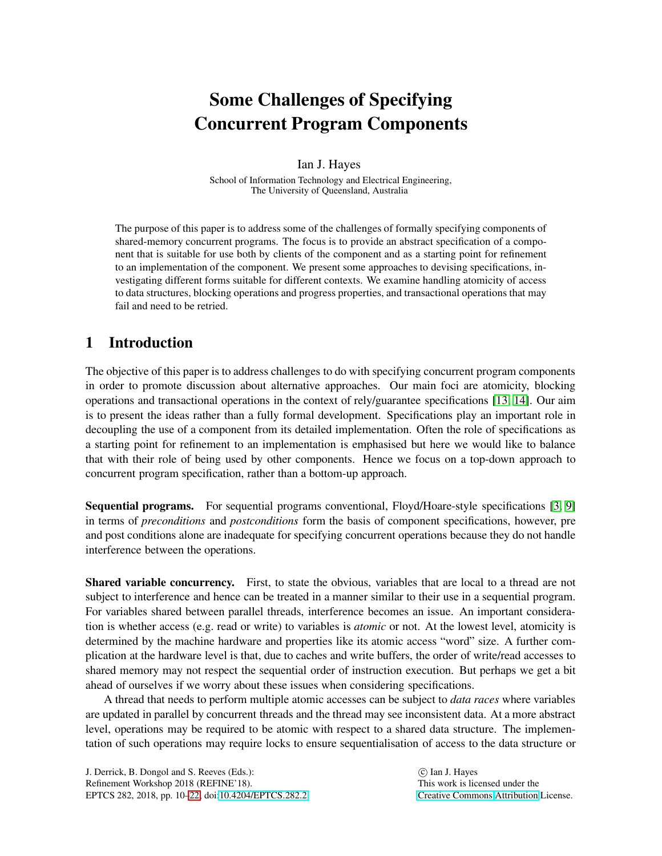# Some Challenges of Specifying Concurrent Program Components

Ian J. Hayes

School of Information Technology and Electrical Engineering, The University of Queensland, Australia

The purpose of this paper is to address some of the challenges of formally specifying components of shared-memory concurrent programs. The focus is to provide an abstract specification of a component that is suitable for use both by clients of the component and as a starting point for refinement to an implementation of the component. We present some approaches to devising specifications, investigating different forms suitable for different contexts. We examine handling atomicity of access to data structures, blocking operations and progress properties, and transactional operations that may fail and need to be retried.

# 1 Introduction

The objective of this paper is to address challenges to do with specifying concurrent program components in order to promote discussion about alternative approaches. Our main foci are atomicity, blocking operations and transactional operations in the context of rely/guarantee specifications [\[13,](#page-12-1) [14\]](#page-12-2). Our aim is to present the ideas rather than a fully formal development. Specifications play an important role in decoupling the use of a component from its detailed implementation. Often the role of specifications as a starting point for refinement to an implementation is emphasised but here we would like to balance that with their role of being used by other components. Hence we focus on a top-down approach to concurrent program specification, rather than a bottom-up approach.

Sequential programs. For sequential programs conventional, Floyd/Hoare-style specifications [\[3,](#page-11-0) [9\]](#page-11-1) in terms of *preconditions* and *postconditions* form the basis of component specifications, however, pre and post conditions alone are inadequate for specifying concurrent operations because they do not handle interference between the operations.

Shared variable concurrency. First, to state the obvious, variables that are local to a thread are not subject to interference and hence can be treated in a manner similar to their use in a sequential program. For variables shared between parallel threads, interference becomes an issue. An important consideration is whether access (e.g. read or write) to variables is *atomic* or not. At the lowest level, atomicity is determined by the machine hardware and properties like its atomic access "word" size. A further complication at the hardware level is that, due to caches and write buffers, the order of write/read accesses to shared memory may not respect the sequential order of instruction execution. But perhaps we get a bit ahead of ourselves if we worry about these issues when considering specifications.

A thread that needs to perform multiple atomic accesses can be subject to *data races* where variables are updated in parallel by concurrent threads and the thread may see inconsistent data. At a more abstract level, operations may be required to be atomic with respect to a shared data structure. The implementation of such operations may require locks to ensure sequentialisation of access to the data structure or

 c Ian J. Hayes This work is licensed under the [Creative Commons](http://creativecommons.org) [Attribution](http://creativecommons.org/licenses/by/3.0/) License.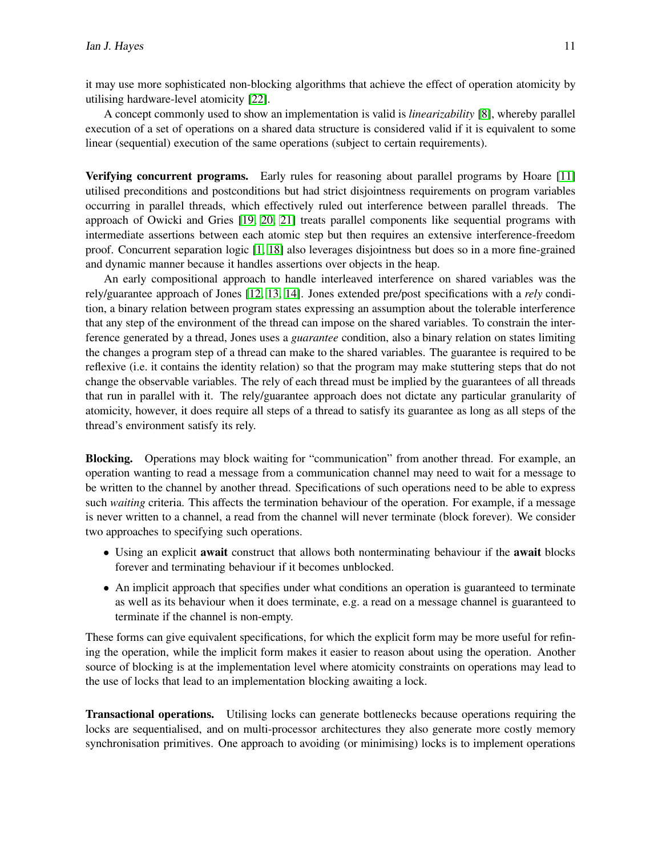it may use more sophisticated non-blocking algorithms that achieve the effect of operation atomicity by utilising hardware-level atomicity [\[22\]](#page-12-3).

A concept commonly used to show an implementation is valid is *linearizability* [\[8\]](#page-11-2), whereby parallel execution of a set of operations on a shared data structure is considered valid if it is equivalent to some linear (sequential) execution of the same operations (subject to certain requirements).

Verifying concurrent programs. Early rules for reasoning about parallel programs by Hoare [\[11\]](#page-11-3) utilised preconditions and postconditions but had strict disjointness requirements on program variables occurring in parallel threads, which effectively ruled out interference between parallel threads. The approach of Owicki and Gries [\[19,](#page-12-4) [20,](#page-12-5) [21\]](#page-12-6) treats parallel components like sequential programs with intermediate assertions between each atomic step but then requires an extensive interference-freedom proof. Concurrent separation logic [\[1,](#page-11-4) [18\]](#page-12-7) also leverages disjointness but does so in a more fine-grained and dynamic manner because it handles assertions over objects in the heap.

An early compositional approach to handle interleaved interference on shared variables was the rely/guarantee approach of Jones [\[12,](#page-12-8) [13,](#page-12-1) [14\]](#page-12-2). Jones extended pre/post specifications with a *rely* condition, a binary relation between program states expressing an assumption about the tolerable interference that any step of the environment of the thread can impose on the shared variables. To constrain the interference generated by a thread, Jones uses a *guarantee* condition, also a binary relation on states limiting the changes a program step of a thread can make to the shared variables. The guarantee is required to be reflexive (i.e. it contains the identity relation) so that the program may make stuttering steps that do not change the observable variables. The rely of each thread must be implied by the guarantees of all threads that run in parallel with it. The rely/guarantee approach does not dictate any particular granularity of atomicity, however, it does require all steps of a thread to satisfy its guarantee as long as all steps of the thread's environment satisfy its rely.

Blocking. Operations may block waiting for "communication" from another thread. For example, an operation wanting to read a message from a communication channel may need to wait for a message to be written to the channel by another thread. Specifications of such operations need to be able to express such *waiting* criteria. This affects the termination behaviour of the operation. For example, if a message is never written to a channel, a read from the channel will never terminate (block forever). We consider two approaches to specifying such operations.

- Using an explicit await construct that allows both nonterminating behaviour if the await blocks forever and terminating behaviour if it becomes unblocked.
- An implicit approach that specifies under what conditions an operation is guaranteed to terminate as well as its behaviour when it does terminate, e.g. a read on a message channel is guaranteed to terminate if the channel is non-empty.

These forms can give equivalent specifications, for which the explicit form may be more useful for refining the operation, while the implicit form makes it easier to reason about using the operation. Another source of blocking is at the implementation level where atomicity constraints on operations may lead to the use of locks that lead to an implementation blocking awaiting a lock.

Transactional operations. Utilising locks can generate bottlenecks because operations requiring the locks are sequentialised, and on multi-processor architectures they also generate more costly memory synchronisation primitives. One approach to avoiding (or minimising) locks is to implement operations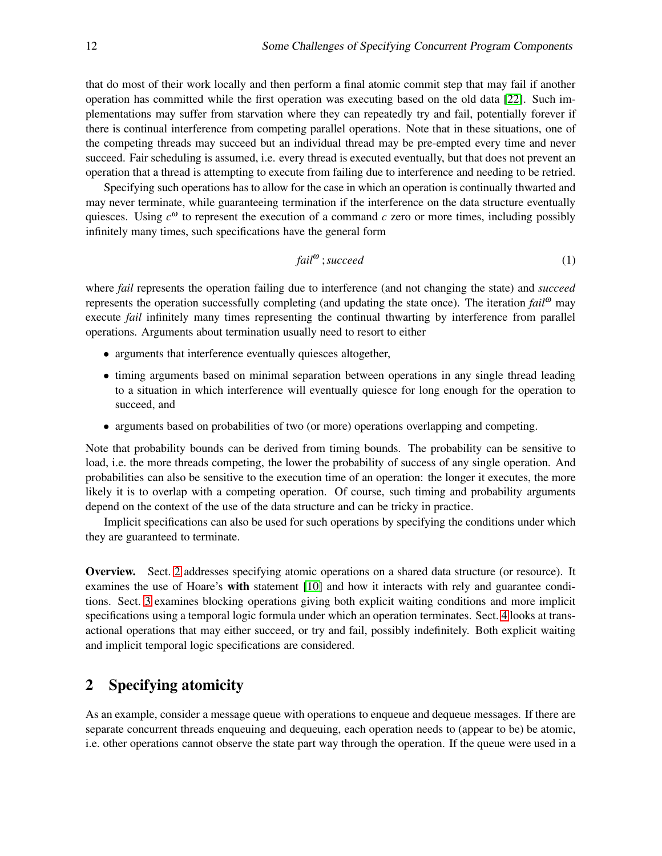that do most of their work locally and then perform a final atomic commit step that may fail if another operation has committed while the first operation was executing based on the old data [\[22\]](#page-12-3). Such implementations may suffer from starvation where they can repeatedly try and fail, potentially forever if there is continual interference from competing parallel operations. Note that in these situations, one of the competing threads may succeed but an individual thread may be pre-empted every time and never succeed. Fair scheduling is assumed, i.e. every thread is executed eventually, but that does not prevent an operation that a thread is attempting to execute from failing due to interference and needing to be retried.

Specifying such operations has to allow for the case in which an operation is continually thwarted and may never terminate, while guaranteeing termination if the interference on the data structure eventually quiesces. Using  $c^{\omega}$  to represent the execution of a command  $c$  zero or more times, including possibly infinitely many times, such specifications have the general form

$$
fail^{\omega} \t{;succeed} \t(1)
$$

where *fail* represents the operation failing due to interference (and not changing the state) and *succeed* represents the operation successfully completing (and updating the state once). The iteration *fail*<sup>ω</sup> may execute *fail* infinitely many times representing the continual thwarting by interference from parallel operations. Arguments about termination usually need to resort to either

- arguments that interference eventually quiesces altogether,
- timing arguments based on minimal separation between operations in any single thread leading to a situation in which interference will eventually quiesce for long enough for the operation to succeed, and
- arguments based on probabilities of two (or more) operations overlapping and competing.

Note that probability bounds can be derived from timing bounds. The probability can be sensitive to load, i.e. the more threads competing, the lower the probability of success of any single operation. And probabilities can also be sensitive to the execution time of an operation: the longer it executes, the more likely it is to overlap with a competing operation. Of course, such timing and probability arguments depend on the context of the use of the data structure and can be tricky in practice.

Implicit specifications can also be used for such operations by specifying the conditions under which they are guaranteed to terminate.

Overview. Sect. [2](#page-2-0) addresses specifying atomic operations on a shared data structure (or resource). It examines the use of Hoare's with statement [\[10\]](#page-11-5) and how it interacts with rely and guarantee conditions. Sect. [3](#page-5-0) examines blocking operations giving both explicit waiting conditions and more implicit specifications using a temporal logic formula under which an operation terminates. Sect. [4](#page-8-0) looks at transactional operations that may either succeed, or try and fail, possibly indefinitely. Both explicit waiting and implicit temporal logic specifications are considered.

# <span id="page-2-0"></span>2 Specifying atomicity

As an example, consider a message queue with operations to enqueue and dequeue messages. If there are separate concurrent threads enqueuing and dequeuing, each operation needs to (appear to be) be atomic, i.e. other operations cannot observe the state part way through the operation. If the queue were used in a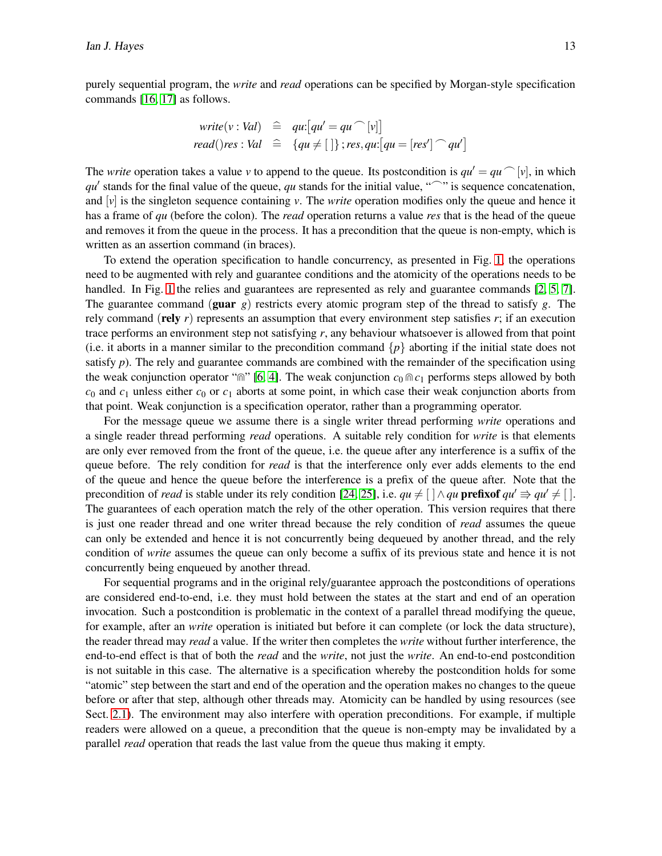purely sequential program, the *write* and *read* operations can be specified by Morgan-style specification commands [\[16,](#page-12-9) [17\]](#page-12-10) as follows.

$$
write(v: Val) \cong qu:[qu' = qu \cap [v]]
$$
  

$$
read()res: Val \cong \{qu \neq [\ ]\}; res, qu:[qu = [res'] \cap qu']
$$

The *write* operation takes a value *v* to append to the queue. Its postcondition is  $qu' = qu$  [*v*], in which *qu'* stands for the final value of the queue, *qu* stands for the initial value, " c'" is sequence concatenation, and  $\lbrack v \rbrack$  is the singleton sequence containing *v*. The *write* operation modifies only the queue and hence it has a frame of *qu* (before the colon). The *read* operation returns a value *res* that is the head of the queue and removes it from the queue in the process. It has a precondition that the queue is non-empty, which is written as an assertion command (in braces).

To extend the operation specification to handle concurrency, as presented in Fig. [1,](#page-4-0) the operations need to be augmented with rely and guarantee conditions and the atomicity of the operations needs to be handled. In Fig. [1](#page-4-0) the relies and guarantees are represented as rely and guarantee commands [\[2,](#page-11-6) [5,](#page-11-7) [7\]](#page-11-8). The guarantee command (guar *g*) restricts every atomic program step of the thread to satisfy *g*. The rely command (rely  $r$ ) represents an assumption that every environment step satisfies  $r$ ; if an execution trace performs an environment step not satisfying *r*, any behaviour whatsoever is allowed from that point (i.e. it aborts in a manner similar to the precondition command  $\{p\}$  aborting if the initial state does not satisfy  $p$ ). The rely and guarantee commands are combined with the remainder of the specification using the weak conjunction operator " $\sin$ " [\[6,](#page-11-9) [4\]](#page-11-10). The weak conjunction  $c_0 \sin c_1$  performs steps allowed by both  $c_0$  and  $c_1$  unless either  $c_0$  or  $c_1$  aborts at some point, in which case their weak conjunction aborts from that point. Weak conjunction is a specification operator, rather than a programming operator.

For the message queue we assume there is a single writer thread performing *write* operations and a single reader thread performing *read* operations. A suitable rely condition for *write* is that elements are only ever removed from the front of the queue, i.e. the queue after any interference is a suffix of the queue before. The rely condition for *read* is that the interference only ever adds elements to the end of the queue and hence the queue before the interference is a prefix of the queue after. Note that the precondition of *read* is stable under its rely condition [\[24,](#page-12-11) 25], i.e.  $qu \neq [\ ] \land qu$  **prefixof**  $qu' \Rightarrow qu' \neq [\ ]$ . The guarantees of each operation match the rely of the other operation. This version requires that there is just one reader thread and one writer thread because the rely condition of *read* assumes the queue can only be extended and hence it is not concurrently being dequeued by another thread, and the rely condition of *write* assumes the queue can only become a suffix of its previous state and hence it is not concurrently being enqueued by another thread.

For sequential programs and in the original rely/guarantee approach the postconditions of operations are considered end-to-end, i.e. they must hold between the states at the start and end of an operation invocation. Such a postcondition is problematic in the context of a parallel thread modifying the queue, for example, after an *write* operation is initiated but before it can complete (or lock the data structure), the reader thread may *read* a value. If the writer then completes the *write* without further interference, the end-to-end effect is that of both the *read* and the *write*, not just the *write*. An end-to-end postcondition is not suitable in this case. The alternative is a specification whereby the postcondition holds for some "atomic" step between the start and end of the operation and the operation makes no changes to the queue before or after that step, although other threads may. Atomicity can be handled by using resources (see Sect. [2.1\)](#page-4-1). The environment may also interfere with operation preconditions. For example, if multiple readers were allowed on a queue, a precondition that the queue is non-empty may be invalidated by a parallel *read* operation that reads the last value from the queue thus making it empty.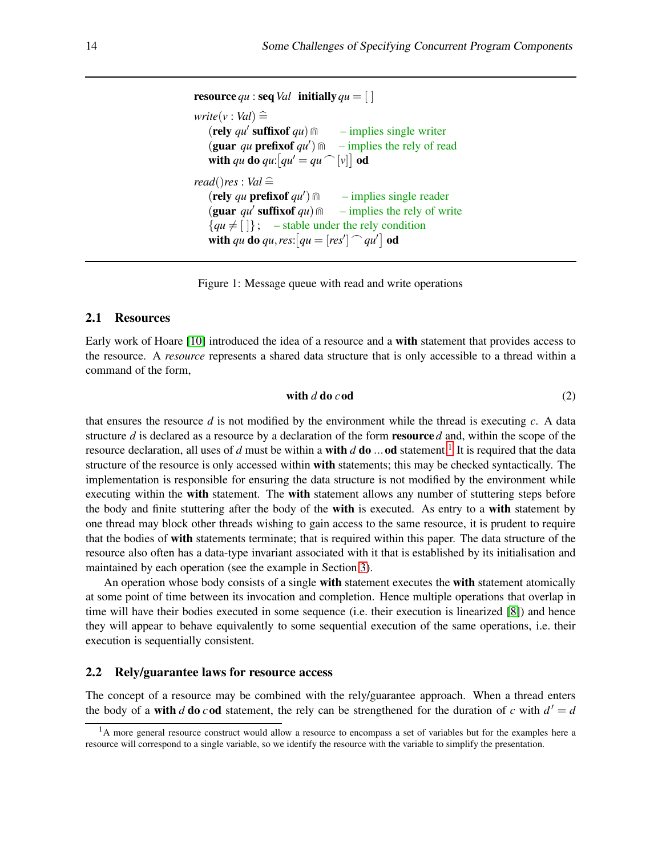```
resource qu : seq Val initially qu = [write(v : Val) \cong(\text{rely } qu' \text{ suffixof } qu) m
                                 - implies single writer
   (guar qu prefixof qu′
                               - implies the rely of read
   with qu do qu: [qu' = qu \cap [v]] od
read()res : Val \hat{=}(rely qu prefixof qu′
                                  – implies single reader
   (guar qu' suffixof qu) m
                                 - implies the rely of write
   {qu \neq [\ ]}; – stable under the rely condition
   with qu do qu, res: [qu = [res'] \cap qu'] od
```
<span id="page-4-0"></span>Figure 1: Message queue with read and write operations

#### <span id="page-4-1"></span>2.1 Resources

Early work of Hoare [\[10\]](#page-11-5) introduced the idea of a resource and a with statement that provides access to the resource. A *resource* represents a shared data structure that is only accessible to a thread within a command of the form,

with 
$$
d \, \text{do} \, c \, \text{od}
$$
 (2)

that ensures the resource *d* is not modified by the environment while the thread is executing *c*. A data structure *d* is declared as a resource by a declaration of the form resource *d* and, within the scope of the resource declaration, all uses of *d* must be within a **with** *d* **do** ... od statement.<sup>[1](#page-4-2)</sup> It is required that the data structure of the resource is only accessed within with statements; this may be checked syntactically. The implementation is responsible for ensuring the data structure is not modified by the environment while executing within the **with** statement. The **with** statement allows any number of stuttering steps before the body and finite stuttering after the body of the **with** is executed. As entry to a **with** statement by one thread may block other threads wishing to gain access to the same resource, it is prudent to require that the bodies of with statements terminate; that is required within this paper. The data structure of the resource also often has a data-type invariant associated with it that is established by its initialisation and maintained by each operation (see the example in Section [3\)](#page-5-0).

An operation whose body consists of a single with statement executes the with statement atomically at some point of time between its invocation and completion. Hence multiple operations that overlap in time will have their bodies executed in some sequence (i.e. their execution is linearized [\[8\]](#page-11-2)) and hence they will appear to behave equivalently to some sequential execution of the same operations, i.e. their execution is sequentially consistent.

### 2.2 Rely/guarantee laws for resource access

The concept of a resource may be combined with the rely/guarantee approach. When a thread enters the body of a **with** *d* **do** *c* **od** statement, the rely can be strengthened for the duration of *c* with  $d' = d$ 

<span id="page-4-2"></span><sup>&</sup>lt;sup>1</sup>A more general resource construct would allow a resource to encompass a set of variables but for the examples here a resource will correspond to a single variable, so we identify the resource with the variable to simplify the presentation.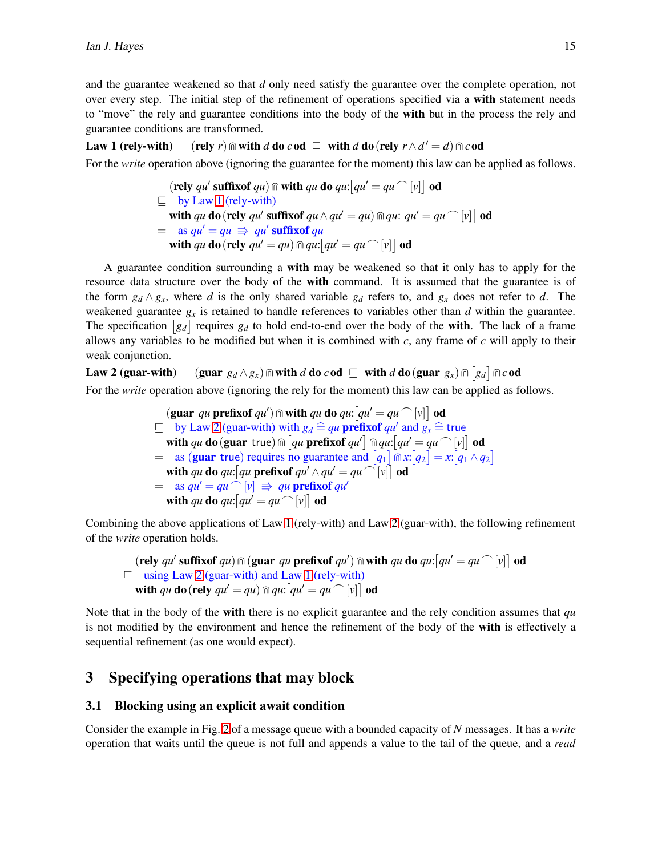and the guarantee weakened so that *d* only need satisfy the guarantee over the complete operation, not over every step. The initial step of the refinement of operations specified via a with statement needs to "move" the rely and guarantee conditions into the body of the **with** but in the process the rely and guarantee conditions are transformed.

## Law 1 (rely-with) (rely *r*)  $\textcircled{r}$  with *d* do *c* od  $\textcircled{r}$  with *d* do(rely  $r \wedge d' = d$ )  $\textcircled{r}$  *c* od

For the *write* operation above (ignoring the guarantee for the moment) this law can be applied as follows.

<span id="page-5-1"></span> $(\text{rely } qu' \text{ suffixof } qu) \text{ } \textcircled{ii}$  with  $qu \text{ do } qu: [qu' = qu \text{ } ^\frown [v]]$  od  $\sqsubseteq$  by Law [1](#page-5-1) (rely-with) with *qu* do (rely *qu'* suffixof  $qu \wedge qu' = qu$ )  $\ln qu:$   $\lceil qu' = qu \bigcap [v] \rceil$  od  $=$  as  $qu' = qu \Rightarrow qu'$  suffixof qu with *qu* do (rely  $qu' = qu$ )  $\ln qu:$   $qu' = qu \cap [v]$  od

A guarantee condition surrounding a with may be weakened so that it only has to apply for the resource data structure over the body of the with command. It is assumed that the guarantee is of the form  $g_d \wedge g_x$ , where *d* is the only shared variable  $g_d$  refers to, and  $g_x$  does not refer to *d*. The weakened guarantee  $g_x$  is retained to handle references to variables other than  $d$  within the guarantee. The specification  $[g_d]$  requires  $g_d$  to hold end-to-end over the body of the **with**. The lack of a frame allows any variables to be modified but when it is combined with *c*, any frame of *c* will apply to their weak conjunction.

Law 2 (guar-with) (guar  $g_d \wedge g_x$ )  $\textcircled{a}$  with  $d$  do  $c$  od  $\subseteq$  with  $d$  do(guar  $g_x$ )  $\textcircled{a}$   $[g_d]$   $\textcircled{a}$  cod For the *write* operation above (ignoring the rely for the moment) this law can be applied as follows.

> <span id="page-5-2"></span> $(\textbf{guar} \ q\ \textbf{u} \ \textbf{prefixof} \ q\ \textbf{u}') \wedge \textbf{with} \ q\ \textbf{u} \ \textbf{do} \ q\ \textbf{u}:[q\ \textbf{u}'=q\ \textbf{u} \bigcap [v] \big] \textbf{od}$  $\subseteq$  by Law [2](#page-5-2) (guar-with) with  $g_d \cong qu$  prefixof  $qu'$  and  $g_x \cong$  true with *qu* do (guar true)  $\ln \left[ q u \right]$  prefixof  $q u' \right] \ln q u$ :  $\left[ q u' = q u \right] \left[ v \right]$  od  $=$  as (**guar** true) requires no guarantee and  $[q_1] \cap x$ :  $[q_2] = x$ :  $[q_1 \wedge q_2]$ with qu do qu:  $\left[qu\right]$  prefixof  $qu' \wedge qu' = qu \cap \left[v\right]\right]$  od  $=$  as  $qu' = qu \cap [v] \Rightarrow qu$  prefixof  $qu'$ with *qu* do *qu*:  $\left[qu' = qu' \right]$  od

Combining the above applications of Law [1](#page-5-1) (rely-with) and Law [2](#page-5-2) (guar-with), the following refinement of the *write* operation holds.

$$
\begin{array}{l}\n\text{(rely } qu' \text{ suffixof } qu) \cap (\text{guar } qu \text{ prefixof } qu') \cap \text{with } qu \text{ do } qu: [qu' = qu \cap [v]] \text{ odd} \\
\sqsubseteq \text{ using Law 2 (guar-with) and Law 1 (rely-with)} \\
\text{ with } qu \text{ do (rely } qu' = qu) \cap qu: [qu' = qu \cap [v]] \text{ odd}\n\end{array}
$$

Note that in the body of the with there is no explicit guarantee and the rely condition assumes that *qu* is not modified by the environment and hence the refinement of the body of the with is effectively a sequential refinement (as one would expect).

# <span id="page-5-0"></span>3 Specifying operations that may block

## 3.1 Blocking using an explicit await condition

Consider the example in Fig. [2](#page-6-0) of a message queue with a bounded capacity of *N* messages. It has a *write* operation that waits until the queue is not full and appends a value to the tail of the queue, and a *read*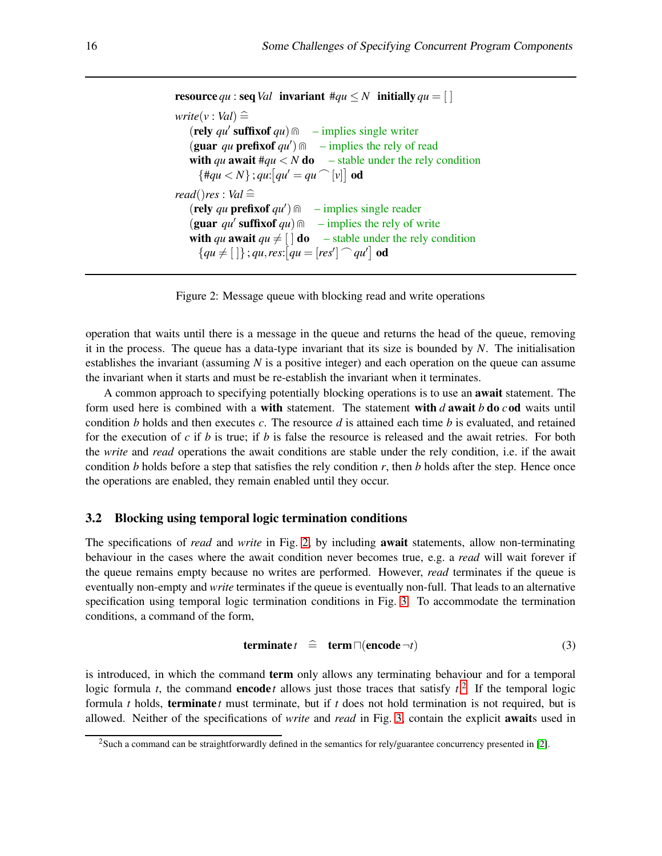```
resource qu : seq Val invariant \#qu \leq N initially qu = [ ]write(v : Val) \cong(rely qu′
suffixof qu)⋓ – implies single writer
   (guar qu prefixof qu') \cap – implies the rely of read
   with qu await \#qu < N do – stable under the rely condition
     \{ \frac{\#qu}{N} \}; qu: \left[ qu' = qu \cap [v] \right] od
read()res : Val \cong(rely qu prefixof qu′
)⋓ – implies single reader
   (guar qu' suffixof qu) \cap – implies the rely of write
   with qu await qu \neq [\ ] do – stable under the rely condition
     {qu \neq [\ ]}; qu, res: [qu = [res'] \cap qu'] od
```
<span id="page-6-0"></span>Figure 2: Message queue with blocking read and write operations

operation that waits until there is a message in the queue and returns the head of the queue, removing it in the process. The queue has a data-type invariant that its size is bounded by *N*. The initialisation establishes the invariant (assuming *N* is a positive integer) and each operation on the queue can assume the invariant when it starts and must be re-establish the invariant when it terminates.

A common approach to specifying potentially blocking operations is to use an **await** statement. The form used here is combined with a with statement. The statement with *d* await *b* do *c*od waits until condition *b* holds and then executes *c*. The resource *d* is attained each time *b* is evaluated, and retained for the execution of *c* if *b* is true; if *b* is false the resource is released and the await retries. For both the *write* and *read* operations the await conditions are stable under the rely condition, i.e. if the await condition *b* holds before a step that satisfies the rely condition *r*, then *b* holds after the step. Hence once the operations are enabled, they remain enabled until they occur.

## 3.2 Blocking using temporal logic termination conditions

The specifications of *read* and *write* in Fig. [2,](#page-6-0) by including await statements, allow non-terminating behaviour in the cases where the await condition never becomes true, e.g. a *read* will wait forever if the queue remains empty because no writes are performed. However, *read* terminates if the queue is eventually non-empty and *write* terminates if the queue is eventually non-full. That leads to an alternative specification using temporal logic termination conditions in Fig. [3.](#page-7-0) To accommodate the termination conditions, a command of the form,

$$
quad \quad t \quad \widehat{=} \quad \mathbf{term} \sqcap (encode \neg t) \tag{3}
$$

is introduced, in which the command **term** only allows any terminating behaviour and for a temporal logic formula *t*, the command **encode** *t* allows just those traces that satisfy  $t^2$  $t^2$ . If the temporal logic formula *t* holds, terminate *t* must terminate, but if *t* does not hold termination is not required, but is allowed. Neither of the specifications of *write* and *read* in Fig. [3,](#page-7-0) contain the explicit awaits used in

<span id="page-6-1"></span><sup>&</sup>lt;sup>2</sup>Such a command can be straightforwardly defined in the semantics for rely/guarantee concurrency presented in [\[2\]](#page-11-6).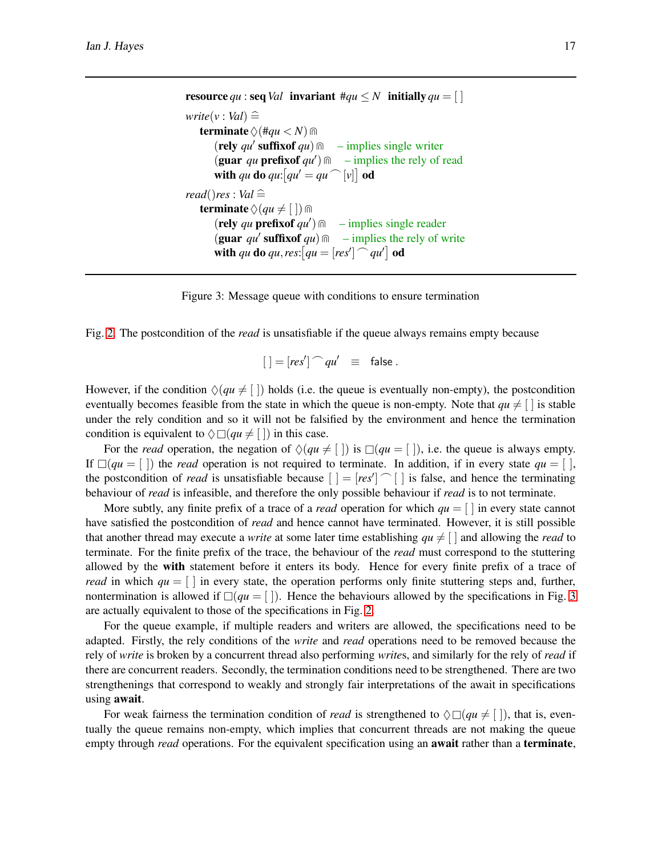```
resource qu : seq Val invariant \#qu \leq N initially qu = \lceil \rceilwrite(v : Val) \congterminate \Diamond (#qu < N) m
       (rely qu′
suffixof qu)⋓ – implies single writer
       (guar qu prefixof qu′
)⋓ – implies the rely of read
       with qu do qu: [qu' = qu \cap [v]] od
read()res : Val \hat{=}terminate \Diamond (qu \neq [ ]) \text{m}(\text{rely } qu \text{ prefix of } qu') \textcirc – implies single reader
       (\text{guar } qu' \text{ suffixof } qu) \, \text{m} – implies the rely of write
       with qu do qu, res: \left[qu = [res'] \right] od
```


Fig. [2.](#page-6-0) The postcondition of the *read* is unsatisfiable if the queue always remains empty because

<span id="page-7-0"></span>
$$
[ \ ] = [res'] \cap qu' \ \equiv \ \text{false} \ .
$$

However, if the condition  $\Diamond (qu \neq \Box)$  holds (i.e. the queue is eventually non-empty), the postcondition eventually becomes feasible from the state in which the queue is non-empty. Note that  $qu \neq \lceil$  is stable under the rely condition and so it will not be falsified by the environment and hence the termination condition is equivalent to  $\Diamond \Box (qu \neq [$  ) in this case.

For the *read* operation, the negation of  $\Diamond$  (*qu*  $\neq$  [ ]) is  $\Box$  (*qu* = [ ]), i.e. the queue is always empty. If  $\Box (qu = \Box)$  the *read* operation is not required to terminate. In addition, if in every state  $qu = \Box$ , the postcondition of *read* is unsatisfiable because  $[$   $] = [res']$   $\cap$   $[$   $]$  is false, and hence the terminating behaviour of *read* is infeasible, and therefore the only possible behaviour if *read* is to not terminate.

More subtly, any finite prefix of a trace of a *read* operation for which  $qu = \lceil \rceil$  in every state cannot have satisfied the postcondition of *read* and hence cannot have terminated. However, it is still possible that another thread may execute a *write* at some later time establishing  $qu \neq \lceil$  and allowing the *read* to terminate. For the finite prefix of the trace, the behaviour of the *read* must correspond to the stuttering allowed by the with statement before it enters its body. Hence for every finite prefix of a trace of *read* in which  $qu = \vert \ \vert$  in every state, the operation performs only finite stuttering steps and, further, nontermination is allowed if  $\Box (qu = | \cdot |)$ . Hence the behaviours allowed by the specifications in Fig. [3](#page-7-0) are actually equivalent to those of the specifications in Fig. [2.](#page-6-0)

For the queue example, if multiple readers and writers are allowed, the specifications need to be adapted. Firstly, the rely conditions of the *write* and *read* operations need to be removed because the rely of *write* is broken by a concurrent thread also performing *write*s, and similarly for the rely of *read* if there are concurrent readers. Secondly, the termination conditions need to be strengthened. There are two strengthenings that correspond to weakly and strongly fair interpretations of the await in specifications using await.

For weak fairness the termination condition of *read* is strengthened to  $\Diamond \Box (qu \neq [\ ])$ , that is, eventually the queue remains non-empty, which implies that concurrent threads are not making the queue empty through *read* operations. For the equivalent specification using an **await** rather than a **terminate**,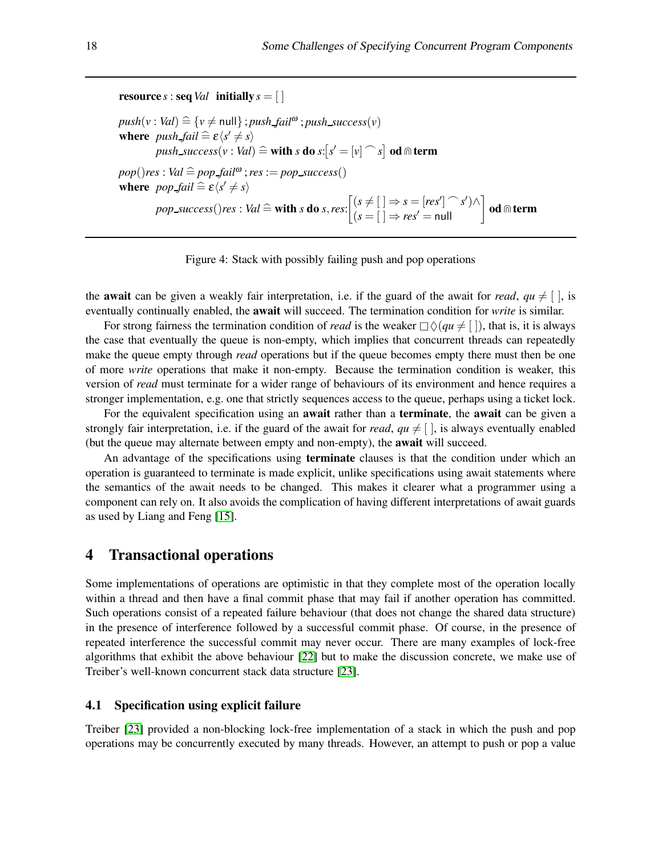## **resource** *s* : **seq**  $Val$  **initially**  $s = [ ]$

 $push(v : Val) \cong \{v \neq null\}$ ; *push\_fail*<sup>ω</sup>; *push\_success*(*v*) **where**  $push\_fail \cong \varepsilon \langle s' \neq s \rangle$  $push\_success(v : Val) \cong \textbf{with } s \textbf{ do } s : [s' = [v] \cap s] \textbf{ od } \text{m term}$  $pop()$ *res* : *Val*  $\cong$  *pop fail*<sup>ω</sup> ; *res* := *pop success*() where  $pop\_fail \cong \varepsilon \langle s' \neq s \rangle$  $pop\_success()$ *res* : *Val*  $\cong$  **with** *s* **do** *s***,***res***:**  $\begin{bmatrix} (s \neq [ ) \Rightarrow s = [res'] \cap s' ) \wedge \\ (s = [ ] \Rightarrow res' = null \end{bmatrix}$  od  $\oplus$  term

<span id="page-8-1"></span>

the **await** can be given a weakly fair interpretation, i.e. if the guard of the await for *read*,  $qu \neq |$ , is eventually continually enabled, the await will succeed. The termination condition for *write* is similar.

For strong fairness the termination condition of *read* is the weaker  $\Box \Diamond (qu \neq [\ ])$ , that is, it is always the case that eventually the queue is non-empty, which implies that concurrent threads can repeatedly make the queue empty through *read* operations but if the queue becomes empty there must then be one of more *write* operations that make it non-empty. Because the termination condition is weaker, this version of *read* must terminate for a wider range of behaviours of its environment and hence requires a stronger implementation, e.g. one that strictly sequences access to the queue, perhaps using a ticket lock.

For the equivalent specification using an **await** rather than a **terminate**, the **await** can be given a strongly fair interpretation, i.e. if the guard of the await for *read*,  $qu \neq [\ ]$ , is always eventually enabled (but the queue may alternate between empty and non-empty), the await will succeed.

An advantage of the specifications using **terminate** clauses is that the condition under which an operation is guaranteed to terminate is made explicit, unlike specifications using await statements where the semantics of the await needs to be changed. This makes it clearer what a programmer using a component can rely on. It also avoids the complication of having different interpretations of await guards as used by Liang and Feng [\[15\]](#page-12-12).

# <span id="page-8-0"></span>4 Transactional operations

Some implementations of operations are optimistic in that they complete most of the operation locally within a thread and then have a final commit phase that may fail if another operation has committed. Such operations consist of a repeated failure behaviour (that does not change the shared data structure) in the presence of interference followed by a successful commit phase. Of course, in the presence of repeated interference the successful commit may never occur. There are many examples of lock-free algorithms that exhibit the above behaviour [\[22\]](#page-12-3) but to make the discussion concrete, we make use of Treiber's well-known concurrent stack data structure [\[23\]](#page-12-13).

#### 4.1 Specification using explicit failure

Treiber [\[23\]](#page-12-13) provided a non-blocking lock-free implementation of a stack in which the push and pop operations may be concurrently executed by many threads. However, an attempt to push or pop a value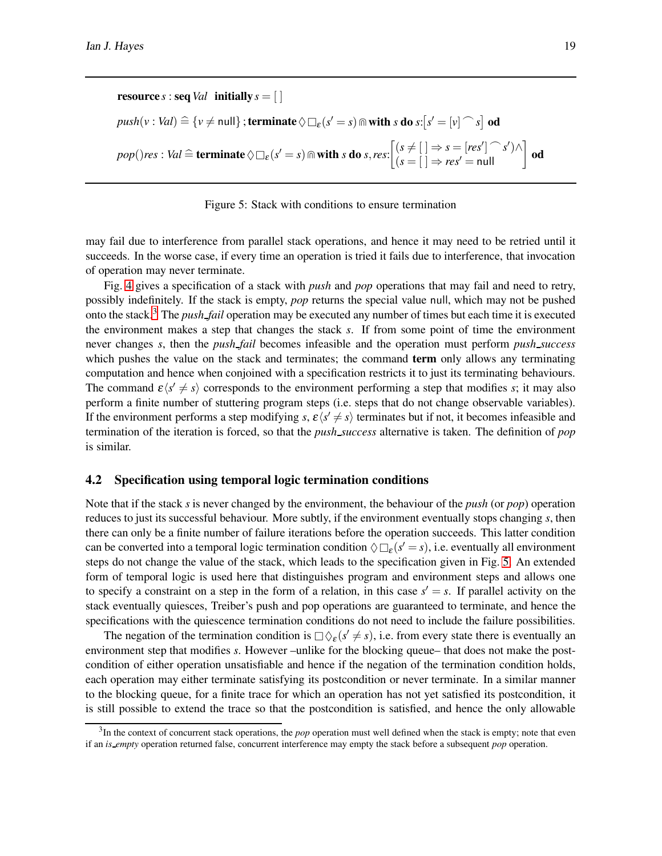**resource** *s* : **seq**  $Val$  **initially**  $s = [ ]$  $push(v : Val) \cong \{v \neq null\}$  ; terminate  $\Diamond \Box_{\varepsilon} (s' = s) \Cap \textbf{with } s \textbf{ do } s: [s' = [v] \cap s]$  od  $pop()$ *res*: *Val*  $\widehat{=}$  **terminate**  $\Diamond \Box_{\varepsilon} (s' = s) \Cap$  with *s* do *s*, *res*:  $\begin{bmatrix} (s \neq [ ) \Rightarrow s = [res'] \cap s' ) \land \\ (s = [ ] \Rightarrow res' = null \end{bmatrix}$ **od** 

#### <span id="page-9-1"></span>Figure 5: Stack with conditions to ensure termination

may fail due to interference from parallel stack operations, and hence it may need to be retried until it succeeds. In the worse case, if every time an operation is tried it fails due to interference, that invocation of operation may never terminate.

Fig. [4](#page-8-1) gives a specification of a stack with *push* and *pop* operations that may fail and need to retry, possibly indefinitely. If the stack is empty, *pop* returns the special value null, which may not be pushed onto the stack.[3](#page-9-0) The *push fail* operation may be executed any number of times but each time it is executed the environment makes a step that changes the stack *s*. If from some point of time the environment never changes *s*, then the *push fail* becomes infeasible and the operation must perform *push success* which pushes the value on the stack and terminates; the command **term** only allows any terminating computation and hence when conjoined with a specification restricts it to just its terminating behaviours. The command  $\varepsilon \langle s' \neq s \rangle$  corresponds to the environment performing a step that modifies *s*; it may also perform a finite number of stuttering program steps (i.e. steps that do not change observable variables). If the environment performs a step modifying *s*,  $\varepsilon \langle s' \neq s \rangle$  terminates but if not, it becomes infeasible and termination of the iteration is forced, so that the *push success* alternative is taken. The definition of *pop* is similar.

#### 4.2 Specification using temporal logic termination conditions

Note that if the stack *s* is never changed by the environment, the behaviour of the *push* (or *pop*) operation reduces to just its successful behaviour. More subtly, if the environment eventually stops changing *s*, then there can only be a finite number of failure iterations before the operation succeeds. This latter condition can be converted into a temporal logic termination condition  $\Diamond \Box_{\varepsilon} (s' = s)$ , i.e. eventually all environment steps do not change the value of the stack, which leads to the specification given in Fig. [5.](#page-9-1) An extended form of temporal logic is used here that distinguishes program and environment steps and allows one to specify a constraint on a step in the form of a relation, in this case  $s' = s$ . If parallel activity on the stack eventually quiesces, Treiber's push and pop operations are guaranteed to terminate, and hence the specifications with the quiescence termination conditions do not need to include the failure possibilities.

The negation of the termination condition is  $\Box \Diamond_{\varepsilon} (s' \neq s)$ , i.e. from every state there is eventually an environment step that modifies *s*. However –unlike for the blocking queue– that does not make the postcondition of either operation unsatisfiable and hence if the negation of the termination condition holds, each operation may either terminate satisfying its postcondition or never terminate. In a similar manner to the blocking queue, for a finite trace for which an operation has not yet satisfied its postcondition, it is still possible to extend the trace so that the postcondition is satisfied, and hence the only allowable

<span id="page-9-0"></span> $3$ In the context of concurrent stack operations, the *pop* operation must well defined when the stack is empty; note that even if an *is empty* operation returned false, concurrent interference may empty the stack before a subsequent *pop* operation.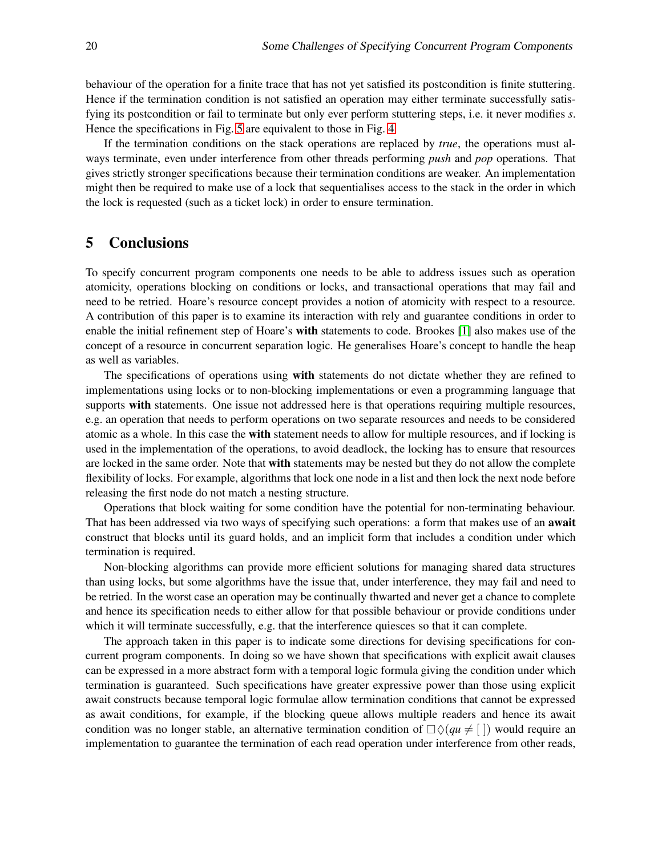behaviour of the operation for a finite trace that has not yet satisfied its postcondition is finite stuttering. Hence if the termination condition is not satisfied an operation may either terminate successfully satisfying its postcondition or fail to terminate but only ever perform stuttering steps, i.e. it never modifies *s*. Hence the specifications in Fig. [5](#page-9-1) are equivalent to those in Fig. [4.](#page-8-1)

If the termination conditions on the stack operations are replaced by *true*, the operations must always terminate, even under interference from other threads performing *push* and *pop* operations. That gives strictly stronger specifications because their termination conditions are weaker. An implementation might then be required to make use of a lock that sequentialises access to the stack in the order in which the lock is requested (such as a ticket lock) in order to ensure termination.

# 5 Conclusions

To specify concurrent program components one needs to be able to address issues such as operation atomicity, operations blocking on conditions or locks, and transactional operations that may fail and need to be retried. Hoare's resource concept provides a notion of atomicity with respect to a resource. A contribution of this paper is to examine its interaction with rely and guarantee conditions in order to enable the initial refinement step of Hoare's with statements to code. Brookes [\[1\]](#page-11-4) also makes use of the concept of a resource in concurrent separation logic. He generalises Hoare's concept to handle the heap as well as variables.

The specifications of operations using **with** statements do not dictate whether they are refined to implementations using locks or to non-blocking implementations or even a programming language that supports with statements. One issue not addressed here is that operations requiring multiple resources, e.g. an operation that needs to perform operations on two separate resources and needs to be considered atomic as a whole. In this case the with statement needs to allow for multiple resources, and if locking is used in the implementation of the operations, to avoid deadlock, the locking has to ensure that resources are locked in the same order. Note that with statements may be nested but they do not allow the complete flexibility of locks. For example, algorithms that lock one node in a list and then lock the next node before releasing the first node do not match a nesting structure.

Operations that block waiting for some condition have the potential for non-terminating behaviour. That has been addressed via two ways of specifying such operations: a form that makes use of an **await** construct that blocks until its guard holds, and an implicit form that includes a condition under which termination is required.

Non-blocking algorithms can provide more efficient solutions for managing shared data structures than using locks, but some algorithms have the issue that, under interference, they may fail and need to be retried. In the worst case an operation may be continually thwarted and never get a chance to complete and hence its specification needs to either allow for that possible behaviour or provide conditions under which it will terminate successfully, e.g. that the interference quiesces so that it can complete.

The approach taken in this paper is to indicate some directions for devising specifications for concurrent program components. In doing so we have shown that specifications with explicit await clauses can be expressed in a more abstract form with a temporal logic formula giving the condition under which termination is guaranteed. Such specifications have greater expressive power than those using explicit await constructs because temporal logic formulae allow termination conditions that cannot be expressed as await conditions, for example, if the blocking queue allows multiple readers and hence its await condition was no longer stable, an alternative termination condition of  $\Box \Diamond (qu \neq \Box)$  would require an implementation to guarantee the termination of each read operation under interference from other reads,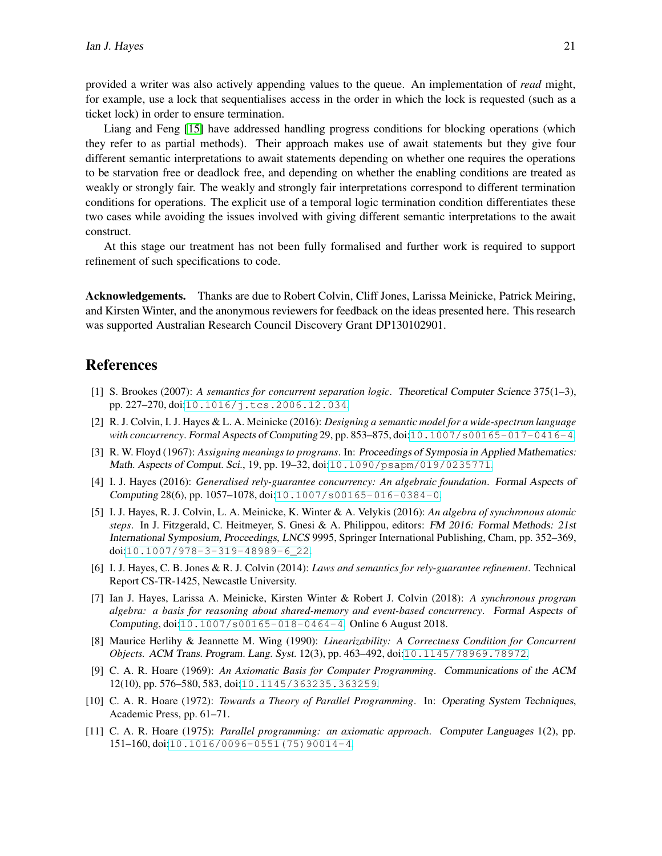provided a writer was also actively appending values to the queue. An implementation of *read* might, for example, use a lock that sequentialises access in the order in which the lock is requested (such as a ticket lock) in order to ensure termination.

Liang and Feng [\[15\]](#page-12-12) have addressed handling progress conditions for blocking operations (which they refer to as partial methods). Their approach makes use of await statements but they give four different semantic interpretations to await statements depending on whether one requires the operations to be starvation free or deadlock free, and depending on whether the enabling conditions are treated as weakly or strongly fair. The weakly and strongly fair interpretations correspond to different termination conditions for operations. The explicit use of a temporal logic termination condition differentiates these two cases while avoiding the issues involved with giving different semantic interpretations to the await construct.

At this stage our treatment has not been fully formalised and further work is required to support refinement of such specifications to code.

Acknowledgements. Thanks are due to Robert Colvin, Cliff Jones, Larissa Meinicke, Patrick Meiring, and Kirsten Winter, and the anonymous reviewers for feedback on the ideas presented here. This research was supported Australian Research Council Discovery Grant DP130102901.

# <span id="page-11-4"></span>References

- [1] S. Brookes (2007): *A semantics for concurrent separation logic*. Theoretical Computer Science 375(1–3), pp. 227–270, doi:[10.1016/j.tcs.2006.12.034](http://dx.doi.org/10.1016/j.tcs.2006.12.034).
- <span id="page-11-6"></span>[2] R. J. Colvin, I. J. Hayes & L. A. Meinicke (2016): *Designing a semantic model for a wide-spectrum language with concurrency*. Formal Aspects of Computing 29, pp. 853–875, doi:[10.1007/s00165-017-0416-4](http://dx.doi.org/10.1007/s00165-017-0416-4).
- <span id="page-11-0"></span>[3] R. W. Floyd (1967): *Assigning meanings to programs*. In: Proceedings of Symposia in Applied Mathematics: Math. Aspects of Comput. Sci., 19, pp. 19–32, doi:[10.1090/psapm/019/0235771](http://dx.doi.org/10.1090/psapm/019/0235771).
- <span id="page-11-10"></span>[4] I. J. Hayes (2016): *Generalised rely-guarantee concurrency: An algebraic foundation*. Formal Aspects of Computing 28(6), pp. 1057–1078, doi:[10.1007/s00165-016-0384-0](http://dx.doi.org/10.1007/s00165-016-0384-0).
- <span id="page-11-7"></span>[5] I. J. Hayes, R. J. Colvin, L. A. Meinicke, K. Winter & A. Velykis (2016): *An algebra of synchronous atomic steps*. In J. Fitzgerald, C. Heitmeyer, S. Gnesi & A. Philippou, editors: FM 2016: Formal Methods: 21st International Symposium, Proceedings, LNCS 9995, Springer International Publishing, Cham, pp. 352–369, doi:[10.1007/978-3-319-48989-6\\_22](http://dx.doi.org/10.1007/978-3-319-48989-6_22).
- <span id="page-11-9"></span>[6] I. J. Hayes, C. B. Jones & R. J. Colvin (2014): *Laws and semantics for rely-guarantee refinement*. Technical Report CS-TR-1425, Newcastle University.
- <span id="page-11-8"></span>[7] Ian J. Hayes, Larissa A. Meinicke, Kirsten Winter & Robert J. Colvin (2018): *A synchronous program algebra: a basis for reasoning about shared-memory and event-based concurrency*. Formal Aspects of Computing, doi:[10.1007/s00165-018-0464-4](http://dx.doi.org/10.1007/s00165-018-0464-4). Online 6 August 2018.
- <span id="page-11-2"></span>[8] Maurice Herlihy & Jeannette M. Wing (1990): *Linearizability: A Correctness Condition for Concurrent Objects.* ACM Trans. Program. Lang. Syst. 12(3), pp. 463–492, doi:[10.1145/78969.78972](http://dx.doi.org/10.1145/78969.78972).
- <span id="page-11-1"></span>[9] C. A. R. Hoare (1969): *An Axiomatic Basis for Computer Programming*. Communications of the ACM 12(10), pp. 576–580, 583, doi:[10.1145/363235.363259](http://dx.doi.org/10.1145/363235.363259).
- <span id="page-11-5"></span>[10] C. A. R. Hoare (1972): *Towards a Theory of Parallel Programming*. In: Operating System Techniques, Academic Press, pp. 61–71.
- <span id="page-11-3"></span>[11] C. A. R. Hoare (1975): *Parallel programming: an axiomatic approach*. Computer Languages 1(2), pp. 151–160, doi:[10.1016/0096-0551\(75\)90014-4](http://dx.doi.org/10.1016/0096-0551(75)90014-4).